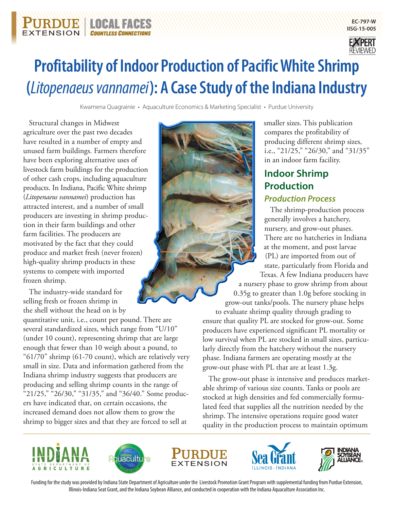

Kwamena Quagrainie • Aquaculture Economics & Marketing Specialist • Purdue University

Structural changes in Midwest agriculture over the past two decades have resulted in a number of empty and unused farm buildings. Farmers therefore have been exploring alternative uses of livestock farm buildings for the production of other cash crops, including aquaculture products. In Indiana, Pacific White shrimp (*Litopenaeus vannamei*) production has attracted interest, and a number of small producers are investing in shrimp production in their farm buildings and other farm facilities. The producers are motivated by the fact that they could produce and market fresh (never frozen) high-quality shrimp products in these systems to compete with imported frozen shrimp.

**NOCAN** 

**COUNTLESS CONNEC** 

EXTENSION

The industry-wide standard for selling fresh or frozen shrimp in the shell without the head on is by

quantitative unit, i.e., count per pound. There are several standardized sizes, which range from "U/10" (under 10 count), representing shrimp that are large enough that fewer than 10 weigh about a pound, to "61/70" shrimp (61-70 count), which are relatively very small in size. Data and information gathered from the Indiana shrimp industry suggests that producers are producing and selling shrimp counts in the range of "21/25," "26/30," "31/35," and "36/40." Some producers have indicated that, on certain occasions, the increased demand does not allow them to grow the shrimp to bigger sizes and that they are forced to sell at



smaller sizes. This publication compares the profitability of producing different shrimp sizes, i.e., "21/25," "26/30," and "31/35" in an indoor farm facility.

**EC-797-W IISG-15-005**

# **Indoor Shrimp Production** *Production Process*

The shrimp-production process generally involves a hatchery, nursery, and grow-out phases. There are no hatcheries in Indiana at the moment, and post larvae (PL) are imported from out of state, particularly from Florida and Texas. A few Indiana producers have a nursery phase to grow shrimp from about 0.35g to greater than 1.0g before stocking in grow-out tanks/pools. The nursery phase helps to evaluate shrimp quality through grading to

ensure that quality PL are stocked for grow-out. Some producers have experienced significant PL mortality or low survival when PL are stocked in small sizes, particularly directly from the hatchery without the nursery phase. Indiana farmers are operating mostly at the grow-out phase with PL that are at least 1.3g.

The grow-out phase is intensive and produces marketable shrimp of various size counts. Tanks or pools are stocked at high densities and fed commercially formulated feed that supplies all the nutrition needed by the shrimp. The intensive operations require good water quality in the production process to maintain optimum











Funding for the study was provided by Indiana State Department of Agriculture under the Livestock Promotion Grant Program with supplemental funding from Purdue Extension, Illinois-Indiana Seat Grant, and the Indiana Soybean Alliance, and conducted in cooperation with the Indiana Aquaculture Association Inc.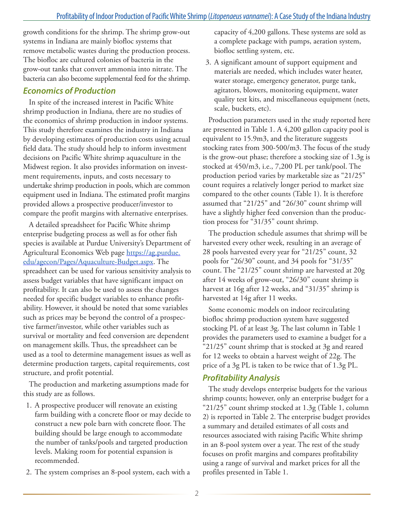growth conditions for the shrimp. The shrimp grow-out systems in Indiana are mainly biofloc systems that remove metabolic wastes during the production process. The biofloc are cultured colonies of bacteria in the grow-out tanks that convert ammonia into nitrate. The bacteria can also become supplemental feed for the shrimp.

### *Economics of Production*

In spite of the increased interest in Pacific White shrimp production in Indiana, there are no studies of the economics of shrimp production in indoor systems. This study therefore examines the industry in Indiana by developing estimates of production costs using actual field data. The study should help to inform investment decisions on Pacific White shrimp aquaculture in the Midwest region. It also provides information on investment requirements, inputs, and costs necessary to undertake shrimp production in pools, which are common equipment used in Indiana. The estimated profit margins provided allows a prospective producer/investor to compare the profit margins with alternative enterprises.

A detailed spreadsheet for Pacific White shrimp enterprise budgeting process as well as for other fish species is available at Purdue University's Department of Agricultural Economics Web page [https://ag.purdue.](https://ag.purdue.edu/agecon/Pages/Aquaculture-Budget.aspx) [edu/agecon/Pages/Aquaculture-Budget.aspx](https://ag.purdue.edu/agecon/Pages/Aquaculture-Budget.aspx). The spreadsheet can be used for various sensitivity analysis to assess budget variables that have significant impact on profitability. It can also be used to assess the changes needed for specific budget variables to enhance profitability. However, it should be noted that some variables such as prices may be beyond the control of a prospective farmer/investor, while other variables such as survival or mortality and feed conversion are dependent on management skills. Thus, the spreadsheet can be used as a tool to determine management issues as well as determine production targets, capital requirements, cost structure, and profit potential.

The production and marketing assumptions made for this study are as follows.

- 1. A prospective producer will renovate an existing farm building with a concrete floor or may decide to construct a new pole barn with concrete floor. The building should be large enough to accommodate the number of tanks/pools and targeted production levels. Making room for potential expansion is recommended.
- 2. The system comprises an 8-pool system, each with a

capacity of 4,200 gallons. These systems are sold as a complete package with pumps, aeration system, biofloc settling system, etc.

3. A significant amount of support equipment and materials are needed, which includes water heater, water storage, emergency generator, purge tank, agitators, blowers, monitoring equipment, water quality test kits, and miscellaneous equipment (nets, scale, buckets, etc).

Production parameters used in the study reported here are presented in Table 1. A 4,200 gallon capacity pool is equivalent to 15.9m3, and the literature suggests stocking rates from 300-500/m3. The focus of the study is the grow-out phase; therefore a stocking size of 1.3g is stocked at 450/m3, i.e., 7,200 PL per tank/pool. The production period varies by marketable size as "21/25" count requires a relatively longer period to market size compared to the other counts (Table 1). It is therefore assumed that "21/25" and "26/30" count shrimp will have a slightly higher feed conversion than the production process for "31/35" count shrimp.

The production schedule assumes that shrimp will be harvested every other week, resulting in an average of 28 pools harvested every year for "21/25" count, 32 pools for "26/30" count, and 34 pools for "31/35" count. The "21/25" count shrimp are harvested at 20g after 14 weeks of grow-out, "26/30" count shrimp is harvest at 16g after 12 weeks, and "31/35" shrimp is harvested at 14g after 11 weeks.

Some economic models on indoor recirculating biofloc shrimp production system have suggested stocking PL of at least 3g. The last column in Table 1 provides the parameters used to examine a budget for a "21/25" count shrimp that is stocked at 3g and reared for 12 weeks to obtain a harvest weight of 22g. The price of a 3g PL is taken to be twice that of 1.3g PL.

### *Profitability Analysis*

The study develops enterprise budgets for the various shrimp counts; however, only an enterprise budget for a "21/25" count shrimp stocked at 1.3g (Table 1, column 2) is reported in Table 2. The enterprise budget provides a summary and detailed estimates of all costs and resources associated with raising Pacific White shrimp in an 8-pool system over a year. The rest of the study focuses on profit margins and compares profitability using a range of survival and market prices for all the profiles presented in Table 1.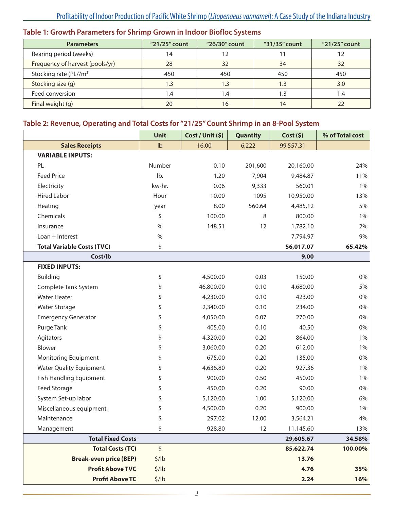| Table 1: Growth Parameters for Shrimp Grown in Indoor Biofloc Systems |  |
|-----------------------------------------------------------------------|--|
|-----------------------------------------------------------------------|--|

| <b>Parameters</b>                 | $"21/25"$ count | "26/30" count | "31/35" count | "21/25" count |
|-----------------------------------|-----------------|---------------|---------------|---------------|
| Rearing period (weeks)            | 14              | 12            |               |               |
| Frequency of harvest (pools/yr)   | 28              | 32            |               | 32            |
| Stocking rate (PL//m <sup>3</sup> | 450             | 450           | 450           | 450           |
| Stocking size (g)                 | 1.3             | l.3           | 1.3           | 3.0           |
| Feed conversion                   | 4. ا            | 4. ا          |               | 1.4           |
| Final weight (g)                  | 20              | 16            | 14            | 22            |

## **Table 2: Revenue, Operating and Total Costs for "21/25" Count Shrimp in an 8-Pool System**

|                                   | Unit   | Cost / Unit (\$) | Quantity | Cost(5)   | % of Total cost |
|-----------------------------------|--------|------------------|----------|-----------|-----------------|
| <b>Sales Receipts</b>             | Ib     | 16.00            | 6,222    | 99,557.31 |                 |
| <b>VARIABLE INPUTS:</b>           |        |                  |          |           |                 |
| PL                                | Number | 0.10             | 201,600  | 20,160.00 | 24%             |
| <b>Feed Price</b>                 | Ib.    | 1.20             | 7,904    | 9,484.87  | 11%             |
| Electricity                       | kw-hr. | 0.06             | 9,333    | 560.01    | $1\%$           |
| <b>Hired Labor</b>                | Hour   | 10.00            | 1095     | 10,950.00 | 13%             |
| Heating                           | year   | 8.00             | 560.64   | 4,485.12  | 5%              |
| Chemicals                         | \$     | 100.00           | 8        | 800.00    | 1%              |
| Insurance                         | $\%$   | 148.51           | 12       | 1,782.10  | 2%              |
| Loan + Interest                   | $\%$   |                  |          | 7,794.97  | 9%              |
| <b>Total Variable Costs (TVC)</b> | \$     |                  |          | 56,017.07 | 65.42%          |
| Cost/lb                           |        |                  |          | 9.00      |                 |
| <b>FIXED INPUTS:</b>              |        |                  |          |           |                 |
| <b>Building</b>                   | \$     | 4,500.00         | 0.03     | 150.00    | 0%              |
| Complete Tank System              | \$     | 46,800.00        | 0.10     | 4,680.00  | 5%              |
| <b>Water Heater</b>               | \$     | 4,230.00         | 0.10     | 423.00    | 0%              |
| <b>Water Storage</b>              | \$     | 2,340.00         | 0.10     | 234.00    | 0%              |
| <b>Emergency Generator</b>        | \$     | 4,050.00         | 0.07     | 270.00    | 0%              |
| Purge Tank                        | \$     | 405.00           | 0.10     | 40.50     | 0%              |
| Agitators                         | \$     | 4,320.00         | 0.20     | 864.00    | 1%              |
| Blower                            | \$     | 3,060.00         | 0.20     | 612.00    | 1%              |
| Monitoring Equipment              | \$     | 675.00           | 0.20     | 135.00    | 0%              |
| <b>Water Quality Equipment</b>    | \$     | 4,636.80         | 0.20     | 927.36    | 1%              |
| Fish Handling Equipment           | \$     | 900.00           | 0.50     | 450.00    | $1\%$           |
| Feed Storage                      |        | 450.00           | 0.20     | 90.00     | 0%              |
| System Set-up labor               | \$     | 5,120.00         | 1.00     | 5,120.00  | 6%              |
| Miscellaneous equipment           |        | 4,500.00         | 0.20     | 900.00    | $1\%$           |
| Maintenance                       |        | 297.02           | 12.00    | 3,564.21  | 4%              |
| Management                        | \$     | 928.80           | 12       | 11,145.60 | 13%             |
| <b>Total Fixed Costs</b>          |        |                  |          | 29,605.67 | 34.58%          |
| <b>Total Costs (TC)</b>           | \$     |                  |          | 85,622.74 | 100.00%         |
| <b>Break-even price (BEP)</b>     | \$/lb  |                  |          | 13.76     |                 |
| <b>Profit Above TVC</b>           | \$/lb  |                  |          | 4.76      | 35%             |
| <b>Profit Above TC</b>            | \$/lb  |                  |          | 2.24      | 16%             |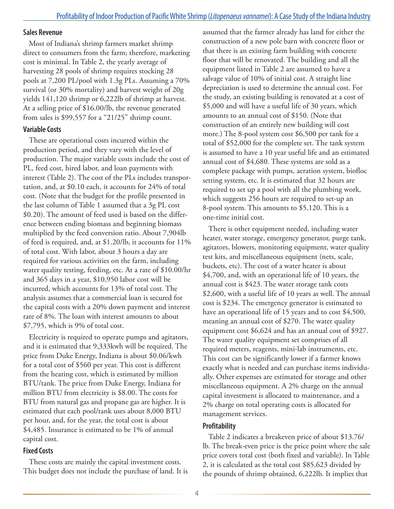#### **Sales Revenue**

Most of Indiana's shrimp farmers market shrimp direct to consumers from the farm; therefore, marketing cost is minimal. In Table 2, the yearly average of harvesting 28 pools of shrimp requires stocking 28 pools at 7,200 PL/pool with 1.3g PLs. Assuming a 70% survival (or 30% mortality) and harvest weight of 20g yields 141,120 shrimp or 6,222lb of shrimp at harvest. At a selling price of \$16.00/lb, the revenue generated from sales is \$99,557 for a "21/25" shrimp count.

#### **Variable Costs**

These are operational costs incurred within the production period, and they vary with the level of production. The major variable costs include the cost of PL, feed cost, hired labor, and loan payments with interest (Table 2). The cost of the PLs includes transportation, and, at \$0.10 each, it accounts for 24% of total cost. (Note that the budget for the profile presented in the last column of Table 1 assumed that a 3g PL cost \$0.20). The amount of feed used is based on the difference between ending biomass and beginning biomass multiplied by the feed conversion ratio. About 7,904lb of feed is required, and, at \$1.20/lb, it accounts for 11% of total cost. With labor, about 3 hours a day are required for various activities on the farm, including water quality testing, feeding, etc. At a rate of \$10.00/hr and 365 days in a year, \$10,950 labor cost will be incurred, which accounts for 13% of total cost. The analysis assumes that a commercial loan is secured for the capital costs with a 20% down payment and interest rate of 8%. The loan with interest amounts to about \$7,795, which is 9% of total cost.

Electricity is required to operate pumps and agitators, and it is estimated that 9,333kwh will be required. The price from Duke Energy, Indiana is about \$0.06/kwh for a total cost of \$560 per year. This cost is different from the heating cost, which is estimated by million BTU/tank. The price from Duke Energy, Indiana for million BTU from electricity is \$8.00. The costs for BTU from natural gas and propane gas are higher. It is estimated that each pool/tank uses about 8,000 BTU per hour, and, for the year, the total cost is about \$4,485. Insurance is estimated to be 1% of annual capital cost.

#### **Fixed Costs**

These costs are mainly the capital investment costs. This budget does not include the purchase of land. It is assumed that the farmer already has land for either the construction of a new pole barn with concrete floor or that there is an existing farm building with concrete floor that will be renovated. The building and all the equipment listed in Table 2 are assumed to have a salvage value of 10% of initial cost. A straight line depreciation is used to determine the annual cost. For the study, an existing building is renovated at a cost of \$5,000 and will have a useful life of 30 years, which amounts to an annual cost of \$150. (Note that construction of an entirely new building will cost more.) The 8-pool system cost \$6,500 per tank for a total of \$52,000 for the complete set. The tank system is assumed to have a 10 year useful life and an estimated annual cost of \$4,680. These systems are sold as a complete package with pumps, aeration system, biofloc setting system, etc. It is estimated that 32 hours are required to set up a pool with all the plumbing work, which suggests 256 hours are required to set-up an 8-pool system. This amounts to \$5,120. This is a one-time initial cost.

There is other equipment needed, including water heater, water storage, emergency generator, purge tank, agitators, blowers, monitoring equipment, water quality test kits, and miscellaneous equipment (nets, scale, buckets, etc). The cost of a water heater is about \$4,700, and, with an operational life of 10 years, the annual cost is \$423. The water storage tank costs \$2,600, with a useful life of 10 years as well. The annual cost is \$234. The emergency generator is estimated to have an operational life of 15 years and to cost \$4,500, meaning an annual cost of \$270. The water quality equipment cost \$6,624 and has an annual cost of \$927. The water quality equipment set comprises of all required meters, reagents, mini-lab instruments, etc. This cost can be significantly lower if a farmer knows exactly what is needed and can purchase items individually. Other expenses are estimated for storage and other miscellaneous equipment. A 2% charge on the annual capital investment is allocated to maintenance, and a 2% charge on total operating costs is allocated for management services.

#### **Profitability**

Table 2 indicates a breakeven price of about \$13.76/ lb. The break-even price is the price point where the sale price covers total cost (both fixed and variable). In Table 2, it is calculated as the total cost \$85,623 divided by the pounds of shrimp obtained, 6,222lb. It implies that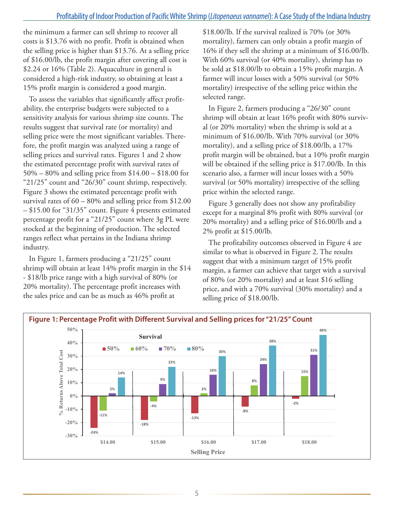the minimum a farmer can sell shrimp to recover all costs is \$13.76 with no profit. Profit is obtained when the selling price is higher than \$13.76. At a selling price of \$16.00/lb, the profit margin after covering all cost is \$2.24 or 16% (Table 2). Aquaculture in general is considered a high-risk industry, so obtaining at least a 15% profit margin is considered a good margin.

To assess the variables that significantly affect profitability, the enterprise budgets were subjected to a sensitivity analysis for various shrimp size counts. The results suggest that survival rate (or mortality) and selling price were the most significant variables. Therefore, the profit margin was analyzed using a range of selling prices and survival rates. Figures 1 and 2 show the estimated percentage profit with survival rates of 50% – 80% and selling price from \$14.00 – \$18.00 for "21/25" count and "26/30" count shrimp, respectively. Figure 3 shows the estimated percentage profit with survival rates of 60 – 80% and selling price from \$12.00 – \$15.00 for "31/35" count. Figure 4 presents estimated percentage profit for a "21/25" count where 3g PL were stocked at the beginning of production. The selected ranges reflect what pertains in the Indiana shrimp industry.

In Figure 1, farmers producing a "21/25" count shrimp will obtain at least 14% profit margin in the \$14 - \$18/lb price range with a high survival of 80% (or 20% mortality). The percentage profit increases with the sales price and can be as much as 46% profit at

\$18.00/lb. If the survival realized is 70% (or 30% mortality), farmers can only obtain a profit margin of 16% if they sell the shrimp at a minimum of \$16.00/lb. With 60% survival (or 40% mortality), shrimp has to be sold at \$18.00/lb to obtain a 15% profit margin. A farmer will incur losses with a 50% survival (or 50% mortality) irrespective of the selling price within the selected range.

In Figure 2, farmers producing a "26/30" count shrimp will obtain at least 16% profit with 80% survival (or 20% mortality) when the shrimp is sold at a minimum of \$16.00/lb. With 70% survival (or 30% mortality), and a selling price of \$18.00/lb, a 17% profit margin will be obtained, but a 10% profit margin will be obtained if the selling price is \$17.00/lb. In this scenario also, a farmer will incur losses with a 50% survival (or 50% mortality) irrespective of the selling price within the selected range.

Figure 3 generally does not show any profitability except for a marginal 8% profit with 80% survival (or 20% mortality) and a selling price of \$16.00/lb and a 2% profit at \$15.00/lb.

The profitability outcomes observed in Figure 4 are similar to what is observed in Figure 2. The results suggest that with a minimum target of 15% profit margin, a farmer can achieve that target with a survival of 80% (or 20% mortality) and at least \$16 selling price, and with a 70% survival (30% mortality) and a selling price of \$18.00/lb.

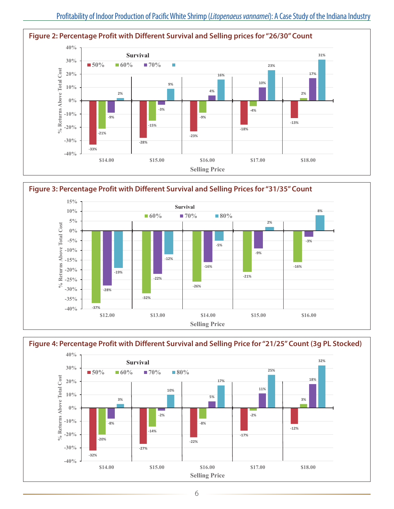